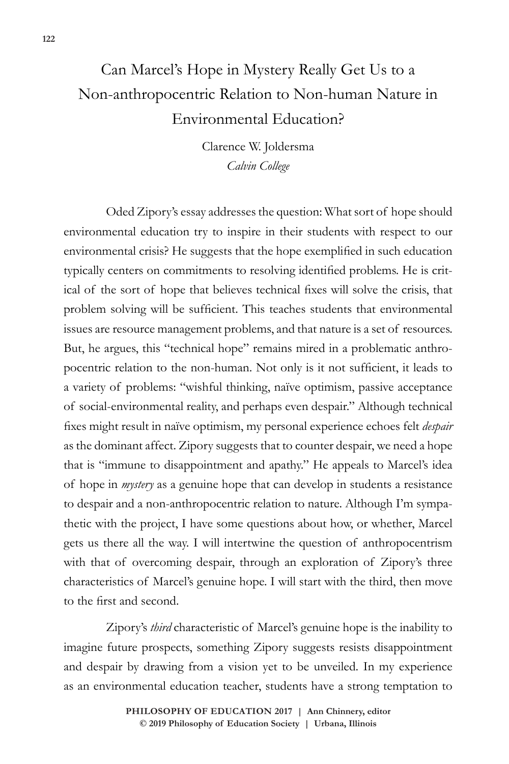## Can Marcel's Hope in Mystery Really Get Us to a Non-anthropocentric Relation to Non-human Nature in Environmental Education?

Clarence W. Joldersma *Calvin College*

Oded Zipory's essay addresses the question: What sort of hope should environmental education try to inspire in their students with respect to our environmental crisis? He suggests that the hope exemplified in such education typically centers on commitments to resolving identified problems. He is critical of the sort of hope that believes technical fixes will solve the crisis, that problem solving will be sufficient. This teaches students that environmental issues are resource management problems, and that nature is a set of resources. But, he argues, this "technical hope" remains mired in a problematic anthropocentric relation to the non-human. Not only is it not sufficient, it leads to a variety of problems: "wishful thinking, naïve optimism, passive acceptance of social-environmental reality, and perhaps even despair." Although technical fixes might result in naïve optimism, my personal experience echoes felt *despair* as the dominant affect. Zipory suggests that to counter despair, we need a hope that is "immune to disappointment and apathy." He appeals to Marcel's idea of hope in *mystery* as a genuine hope that can develop in students a resistance to despair and a non-anthropocentric relation to nature. Although I'm sympathetic with the project, I have some questions about how, or whether, Marcel gets us there all the way. I will intertwine the question of anthropocentrism with that of overcoming despair, through an exploration of Zipory's three characteristics of Marcel's genuine hope. I will start with the third, then move to the first and second.

Zipory's *third* characteristic of Marcel's genuine hope is the inability to imagine future prospects, something Zipory suggests resists disappointment and despair by drawing from a vision yet to be unveiled. In my experience as an environmental education teacher, students have a strong temptation to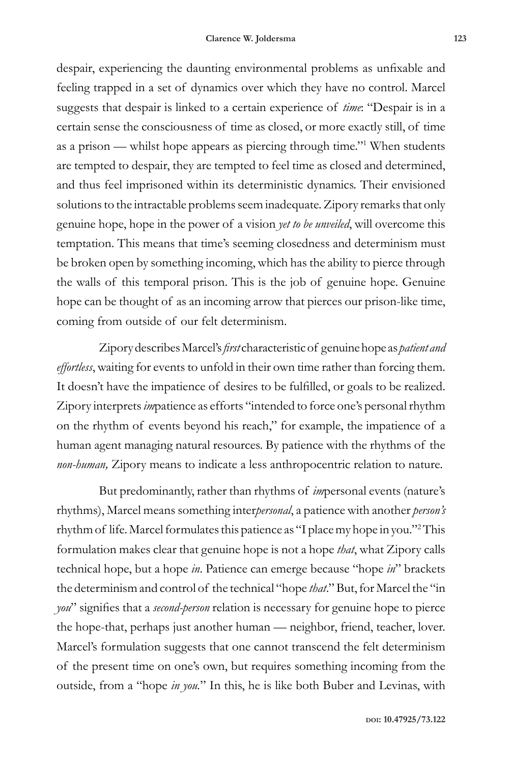despair, experiencing the daunting environmental problems as unfixable and feeling trapped in a set of dynamics over which they have no control. Marcel suggests that despair is linked to a certain experience of *time*: "Despair is in a certain sense the consciousness of time as closed, or more exactly still, of time as a prison — whilst hope appears as piercing through time."<sup>1</sup> When students are tempted to despair, they are tempted to feel time as closed and determined, and thus feel imprisoned within its deterministic dynamics. Their envisioned solutions to the intractable problems seem inadequate. Zipory remarks that only genuine hope, hope in the power of a vision *yet to be unveiled*, will overcome this temptation. This means that time's seeming closedness and determinism must be broken open by something incoming, which has the ability to pierce through the walls of this temporal prison. This is the job of genuine hope. Genuine hope can be thought of as an incoming arrow that pierces our prison-like time, coming from outside of our felt determinism.

Zipory describes Marcel's *first* characteristic of genuine hope as *patient and effortless*, waiting for events to unfold in their own time rather than forcing them. It doesn't have the impatience of desires to be fulfilled, or goals to be realized. Zipory interprets *im*patience as efforts "intended to force one's personal rhythm on the rhythm of events beyond his reach," for example, the impatience of a human agent managing natural resources. By patience with the rhythms of the *non-human,* Zipory means to indicate a less anthropocentric relation to nature.

But predominantly, rather than rhythms of *im*personal events (nature's rhythms), Marcel means something inter*personal*, a patience with another *person's* rhythm of life. Marcel formulates this patience as "I place my hope in you."<sup>2</sup> This formulation makes clear that genuine hope is not a hope *that*, what Zipory calls technical hope, but a hope *in*. Patience can emerge because "hope *in*" brackets the determinism and control of the technical "hope *that*." But, for Marcel the "in *you*" signifies that a *second-person* relation is necessary for genuine hope to pierce the hope-that, perhaps just another human — neighbor, friend, teacher, lover. Marcel's formulation suggests that one cannot transcend the felt determinism of the present time on one's own, but requires something incoming from the outside, from a "hope *in you.*" In this, he is like both Buber and Levinas, with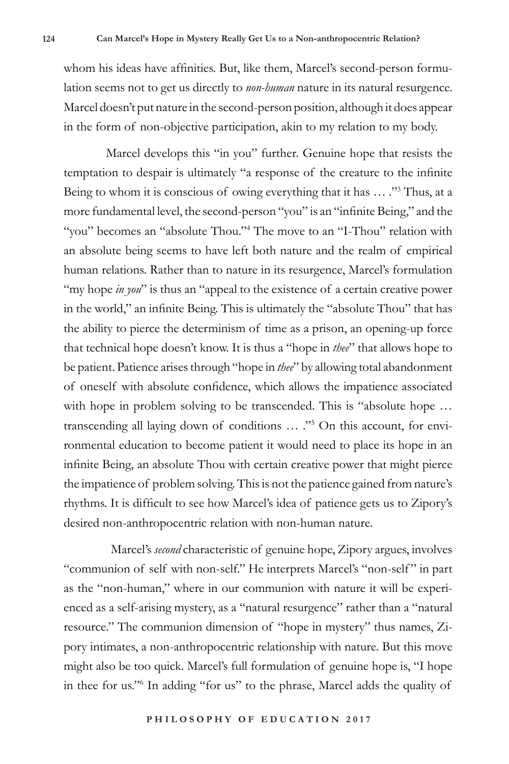whom his ideas have affinities. But, like them, Marcel's second-person formulation seems not to get us directly to *non-human* nature in its natural resurgence. Marcel doesn't put nature in the second-person position, although it does appear in the form of non-objective participation, akin to my relation to my body.

Marcel develops this "in you" further. Genuine hope that resists the temptation to despair is ultimately "a response of the creature to the infinite Being to whom it is conscious of owing everything that it has ... ."<sup>3</sup> Thus, at a more fundamental level, the second-person "you" is an "infinite Being," and the "you" becomes an "absolute Thou."<sup>4</sup> The move to an "I-Thou" relation with an absolute being seems to have left both nature and the realm of empirical human relations. Rather than to nature in its resurgence, Marcel's formulation "my hope *in you*" is thus an "appeal to the existence of a certain creative power in the world," an infinite Being. This is ultimately the "absolute Thou" that has the ability to pierce the determinism of time as a prison, an opening-up force that technical hope doesn't know. It is thus a "hope in *thee*" that allows hope to be patient. Patience arises through "hope in *thee*" by allowing total abandonment of oneself with absolute confidence, which allows the impatience associated with hope in problem solving to be transcended. This is "absolute hope ... transcending all laying down of conditions … ."<sup>5</sup> On this account, for environmental education to become patient it would need to place its hope in an infinite Being, an absolute Thou with certain creative power that might pierce the impatience of problem solving. This is not the patience gained from nature's rhythms. It is difficult to see how Marcel's idea of patience gets us to Zipory's desired non-anthropocentric relation with non-human nature.

 Marcel's *second* characteristic of genuine hope, Zipory argues, involves "communion of self with non-self." He interprets Marcel's "non-self" in part as the "non-human," where in our communion with nature it will be experienced as a self-arising mystery, as a "natural resurgence" rather than a "natural resource." The communion dimension of "hope in mystery" thus names, Zipory intimates, a non-anthropocentric relationship with nature. But this move might also be too quick. Marcel's full formulation of genuine hope is, "I hope in thee for us."<sup>6</sup> In adding "for us" to the phrase, Marcel adds the quality of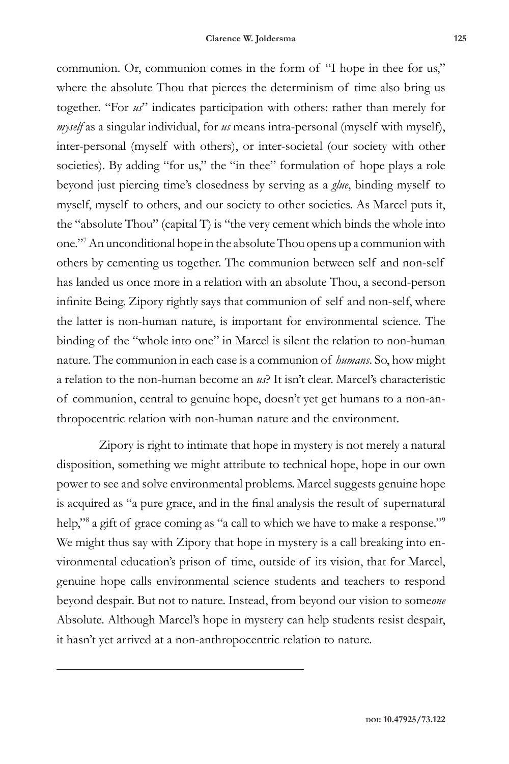communion. Or, communion comes in the form of "I hope in thee for us," where the absolute Thou that pierces the determinism of time also bring us together. "For *us*" indicates participation with others: rather than merely for *myself* as a singular individual, for *us* means intra-personal (myself with myself), inter-personal (myself with others), or inter-societal (our society with other societies). By adding "for us," the "in thee" formulation of hope plays a role beyond just piercing time's closedness by serving as a *glue*, binding myself to myself, myself to others, and our society to other societies. As Marcel puts it, the "absolute Thou" (capital T) is "the very cement which binds the whole into one."<sup>7</sup> An unconditional hope in the absolute Thou opens up a communion with others by cementing us together. The communion between self and non-self has landed us once more in a relation with an absolute Thou, a second-person infinite Being. Zipory rightly says that communion of self and non-self, where the latter is non-human nature, is important for environmental science. The binding of the "whole into one" in Marcel is silent the relation to non-human nature. The communion in each case is a communion of *humans*. So, how might a relation to the non-human become an *us*? It isn't clear. Marcel's characteristic of communion, central to genuine hope, doesn't yet get humans to a non-anthropocentric relation with non-human nature and the environment.

Zipory is right to intimate that hope in mystery is not merely a natural disposition, something we might attribute to technical hope, hope in our own power to see and solve environmental problems. Marcel suggests genuine hope is acquired as "a pure grace, and in the final analysis the result of supernatural help,"<sup>8</sup> a gift of grace coming as "a call to which we have to make a response."<sup>9</sup> We might thus say with Zipory that hope in mystery is a call breaking into environmental education's prison of time, outside of its vision, that for Marcel, genuine hope calls environmental science students and teachers to respond beyond despair. But not to nature. Instead, from beyond our vision to some*one* Absolute. Although Marcel's hope in mystery can help students resist despair, it hasn't yet arrived at a non-anthropocentric relation to nature.